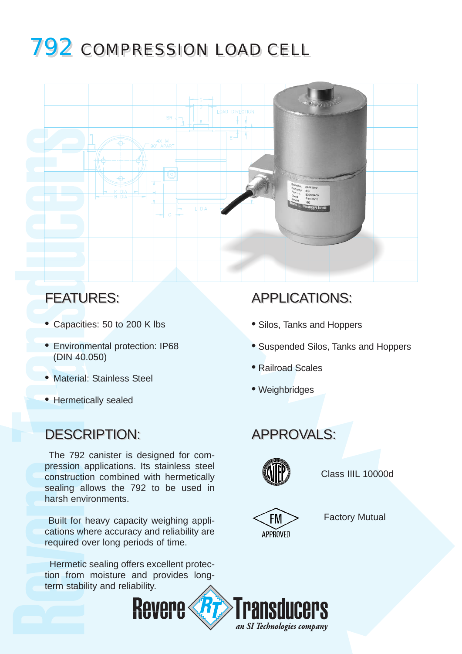# 792 COMPRESSION LOAD CELL 792 COMPRESSION LOAD CELL



- Capacities: 50 to 200 K lbs
- Environmental protection: IP68 (DIN 40.050)
- Material: Stainless Steel
- Hermetically sealed

### DESCRIPTION: DESCRIPTION: APPROVALS: APPROVALS:

The 792 canister is designed for compression applications. Its stainless steel construction combined with hermetically sealing allows the 792 to be used in harsh environments.

Built for heavy capacity weighing applications where accuracy and reliability are required over long periods of time.

Hermetic sealing offers excellent protection from moisture and provides longterm stability and reliability.

## FEATURES: FEATURES: APPLICATIONS: APPLICATIONS:

- Silos, Tanks and Hoppers
- Suspended Silos, Tanks and Hoppers
- Railroad Scales
- Weighbridges



Class IIIL 10000d



Factory Mutual